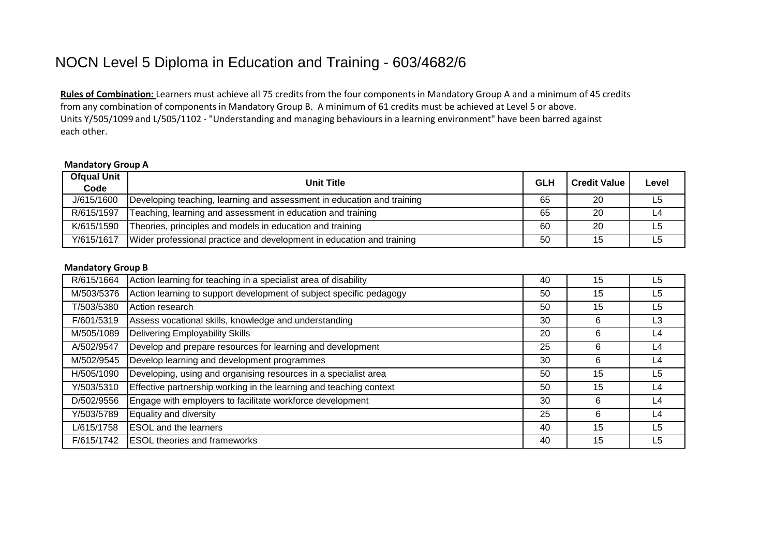## NOCN Level 5 Diploma in Education and Training - 603/4682/6

**Rules of Combination:** Learners must achieve all 75 credits from the four components in Mandatory Group A and a minimum of 45 credits from any combination of components in Mandatory Group B. A minimum of 61 credits must be achieved at Level 5 or above. Units Y/505/1099 and L/505/1102 - "Understanding and managing behaviours in a learning environment" have been barred against each other.

## **Mandatory Group A**

| <b>Ofqual Unit</b><br>Code | <b>Unit Title</b>                                                      | <b>GLH</b> | <b>Credit Value</b> | Level |
|----------------------------|------------------------------------------------------------------------|------------|---------------------|-------|
| J/615/1600                 | Developing teaching, learning and assessment in education and training | 65         | 20                  | L5    |
| R/615/1597                 | Teaching, learning and assessment in education and training            | 65         | 20                  |       |
| K/615/1590                 | Theories, principles and models in education and training              | 60         | 20                  | L5    |
| Y/615/1617                 | Wider professional practice and development in education and training  | 50         | 15                  |       |

## **Mandatory Group B**

| R/615/1664 | Action learning for teaching in a specialist area of disability     | 40 | 15 | L5             |
|------------|---------------------------------------------------------------------|----|----|----------------|
| M/503/5376 | Action learning to support development of subject specific pedagogy | 50 | 15 | L <sub>5</sub> |
| T/503/5380 | Action research                                                     | 50 | 15 | L5             |
| F/601/5319 | Assess vocational skills, knowledge and understanding               | 30 | 6  | L <sub>3</sub> |
| M/505/1089 | Delivering Employability Skills                                     | 20 | 6  | L4             |
| A/502/9547 | Develop and prepare resources for learning and development          | 25 | 6  | L4             |
| M/502/9545 | Develop learning and development programmes                         | 30 | 6  | L4             |
| H/505/1090 | Developing, using and organising resources in a specialist area     | 50 | 15 | L <sub>5</sub> |
| Y/503/5310 | Effective partnership working in the learning and teaching context  | 50 | 15 | L4             |
| D/502/9556 | Engage with employers to facilitate workforce development           | 30 | 6  | L <sub>4</sub> |
| Y/503/5789 | Equality and diversity                                              | 25 | 6  | L4             |
| L/615/1758 | <b>ESOL</b> and the learners                                        | 40 | 15 | L5             |
| F/615/1742 | <b>ESOL</b> theories and frameworks                                 | 40 | 15 | L5             |